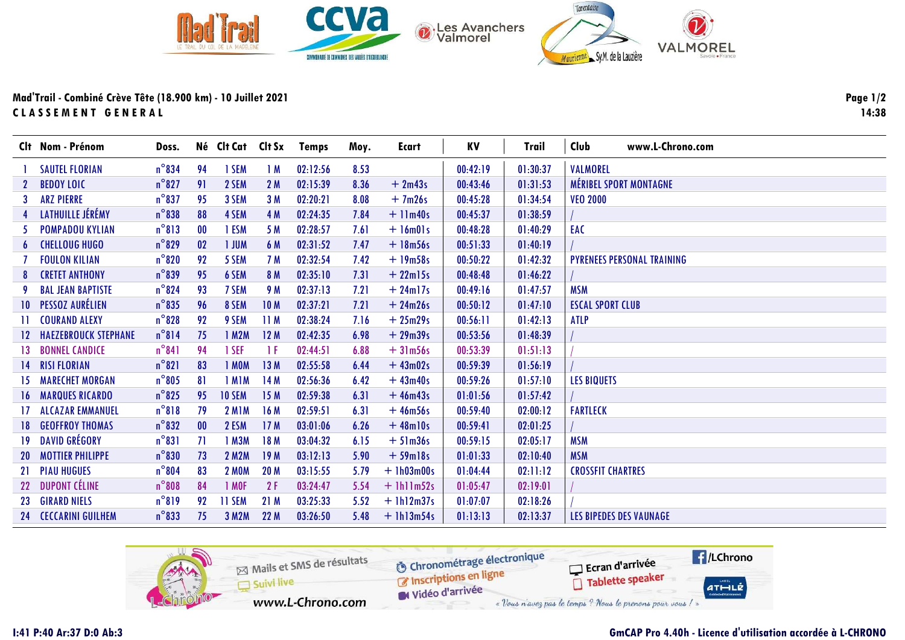

Mad'Trail - Combiné Crève Tête (18.900 km) - 10 Juillet 2021 CLASSEMENT GENERAL

|    | Clt Nom - Prénom               | Doss.           |           | Né Clt Cat    | Clt Sx          | <b>Temps</b> | Moy. | Ecart         | KV       | <b>Trail</b> | Club<br>www.L-Chrono.com          |
|----|--------------------------------|-----------------|-----------|---------------|-----------------|--------------|------|---------------|----------|--------------|-----------------------------------|
|    | <b>SAUTEL FLORIAN</b>          | $n^{\circ}$ 834 | 94        | 1 SEM         | 1M              | 02:12:56     | 8.53 |               | 00:42:19 | 01:30:37     | <b>VALMOREL</b>                   |
| 2  | <b>BEDOY LOIC</b>              | $n^{\circ}827$  | 91        | 2 SEM         | 2 M             | 02:15:39     | 8.36 | $+2m43s$      | 00:43:46 | 01:31:53     | <b>MÉRIBEL SPORT MONTAGNE</b>     |
| 3  | <b>ARZ PIERRE</b>              | $n^{\circ}837$  | 95        | 3 SEM         | 3 M             | 02:20:21     | 8.08 | $+7m26s$      | 00:45:28 | 01:34:54     | <b>VEO 2000</b>                   |
|    | LATHUILLE JÉRÉMY               | $n^{\circ}$ 838 | 88        | 4 SEM         | 4 M             | 02:24:35     | 7.84 | $+$ 11 $m40s$ | 00:45:37 | 01:38:59     |                                   |
| 5. | <b>POMPADOU KYLIAN</b>         | $n^{\circ}813$  | $\bf{00}$ | 1 ESM         | 5 M             | 02:28:57     | 7.61 | $+$ 16m01s    | 00:48:28 | 01:40:29     | EAC                               |
| 6  | <b>CHELLOUG HUGO</b>           | $n^{\circ}$ 829 | 02        | <b>I JUM</b>  | 6 M             | 02:31:52     | 7.47 | $+ 18m56s$    | 00:51:33 | 01:40:19     |                                   |
|    | <b>FOULON KILIAN</b>           | $n^{\circ}820$  | 92        | 5 SEM         | 7 M             | 02:32:54     | 7.42 | $+19m58s$     | 00:50:22 | 01:42:32     | <b>PYRENEES PERSONAL TRAINING</b> |
| 8  | <b>CRETET ANTHONY</b>          | $n^{\circ}839$  | 95        | 6 SEM         | 8 M             | 02:35:10     | 7.31 | $+22$ ml5s    | 00:48:48 | 01:46:22     |                                   |
| -9 | <b>BAL JEAN BAPTISTE</b>       | $n^{\circ}$ 824 | 93        | 7 SEM         | 9 M             | 02:37:13     | 7.21 | $+24$ ml7s    | 00:49:16 | 01:47:57     | <b>MSM</b>                        |
|    | <b>10 PESSOZ AURÉLIEN</b>      | $n^{\circ}$ 835 | 96        | 8 SEM         | 10 <sub>M</sub> | 02:37:21     | 7.21 | $+24m26s$     | 00:50:12 | 01:47:10     | <b>ESCAL SPORT CLUB</b>           |
|    | <b>COURAND ALEXY</b>           | $n^{\circ}$ 828 | 92        | 9 SEM         | 11M             | 02:38:24     | 7.16 | $+25m29s$     | 00:56:11 | 01:42:13     | <b>ATLP</b>                       |
|    | <b>12 HAEZEBROUCK STEPHANE</b> | $n^{\circ}814$  | 75        | 1 M2M         | 12M             | 02:42:35     | 6.98 | $+29m39s$     | 00:53:56 | 01:48:39     |                                   |
|    | <b>13 BONNEL CANDICE</b>       | $n^{\circ}841$  | 94        | 1 SEF         | 1 F             | 02:44:51     | 6.88 | $+31m56s$     | 00:53:39 | 01:51:13     |                                   |
|    | 14 RISI FLORIAN                | $n^{\circ}821$  | 83        | 1 MOM         | 13M             | 02:55:58     | 6.44 | $+43m02s$     | 00:59:39 | 01:56:19     |                                   |
|    | <b>15 MARECHET MORGAN</b>      | $n^{\circ}805$  | 81        | 1 MIM         | 14M             | 02:56:36     | 6.42 | $+43m40s$     | 00:59:26 | 01:57:10     | <b>LES BIQUETS</b>                |
|    | <b>16 MARQUES RICARDO</b>      | $n^{\circ}$ 825 | 95        | <b>10 SEM</b> | 15M             | 02:59:38     | 6.31 | $+46m43s$     | 01:01:56 | 01:57:42     |                                   |
|    | 17 ALCAZAR EMMANUEL            | $n^{\circ}818$  | 79        | <b>2 M1M</b>  | 16 M            | 02:59:51     | 6.31 | $+46m56s$     | 00:59:40 | 02:00:12     | <b>FARTLECK</b>                   |
|    | <b>18 GEOFFROY THOMAS</b>      | $n^{\circ}832$  | 00        | 2 ESM         | 17M             | 03:01:06     | 6.26 | $+48$ ml0s    | 00:59:41 | 02:01:25     |                                   |
|    | <b>19 DAVID GRÉGORY</b>        | $n^{\circ}831$  | 71        | 1 M3M         | 18 M            | 03:04:32     | 6.15 | $+51m36s$     | 00:59:15 | 02:05:17     | <b>MSM</b>                        |
|    | <b>20 MOTTIER PHILIPPE</b>     | $n^{\circ}830$  | 73        | <b>2 M2M</b>  | 19 <sub>M</sub> | 03:12:13     | 5.90 | $+59$ ml $8s$ | 01:01:33 | 02:10:40     | <b>MSM</b>                        |
|    | 21 PIAU HUGUES                 | $n^{\circ}804$  | 83        | <b>2 MOM</b>  | <b>20 M</b>     | 03:15:55     | 5.79 | $+1h03m00s$   | 01:04:44 | 02:11:12     | <b>CROSSFIT CHARTRES</b>          |
|    | 22 DUPONT CÉLINE               | $n^{\circ}808$  | 84        | 1 MOF         | 2F              | 03:24:47     | 5.54 | $+ 1h11m52s$  | 01:05:47 | 02:19:01     |                                   |
|    | 23 GIRARD NIELS                | $n^{\circ}819$  | 92        | <b>II SEM</b> | 21M             | 03:25:33     | 5.52 | $+1h12m37s$   | 01:07:07 | 02:18:26     |                                   |
|    | <b>24 CECCARINI GUILHEM</b>    | $n^{\circ}833$  | 75        | 3 M2M         | 22M             | 03:26:50     | 5.48 | $+$ 1h13m54s  | 01:13:13 | 02:13:37     | LES BIPEDES DES VAUNAGE           |